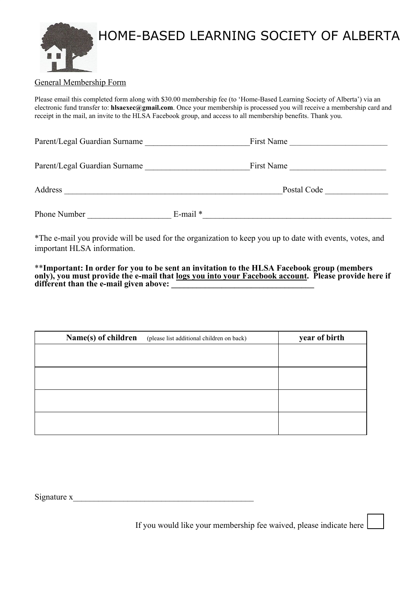

### General Membership Form

Please email this completed form along with \$30.00 membership fee (to 'Home-Based Learning Society of Alberta') via an electronic fund transfer to: **hlsaexec@gmail.com**. Once your membership is processed you will receive a membership card and receipt in the mail, an invite to the HLSA Facebook group, and access to all membership benefits. Thank you.

| Parent/Legal Guardian Surname |               | First Name |  |
|-------------------------------|---------------|------------|--|
| Parent/Legal Guardian Surname |               | First Name |  |
| Address                       | Postal Code   |            |  |
| Phone Number                  | $E$ -mail $*$ |            |  |

\*The e-mail you provide will be used for the organization to keep you up to date with events, votes, and important HLSA information.

\*\***Important: In order for you to be sent an invitation to the HLSA Facebook group (members only), you must provide the e-mail that logs you into your Facebook account. Please provide here if**  different than the e-mail given above:

| Name(s) of children | (please list additional children on back) | year of birth |
|---------------------|-------------------------------------------|---------------|
|                     |                                           |               |
|                     |                                           |               |
|                     |                                           |               |
|                     |                                           |               |
|                     |                                           |               |

Signature  $x$ 

If you would like your membership fee waived, please indicate here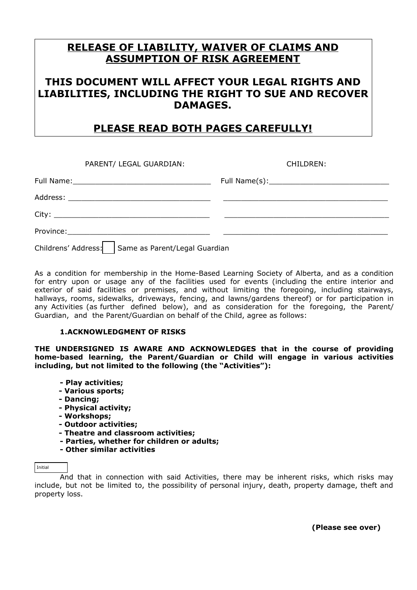## **RELEASE OF LIABILITY, WAIVER OF CLAIMS AND ASSUMPTION OF RISK AGREEMENT**

## **THIS DOCUMENT WILL AFFECT YOUR LEGAL RIGHTS AND LIABILITIES, INCLUDING THE RIGHT TO SUE AND RECOVER DAMAGES.**

# **PLEASE READ BOTH PAGES CAREFULLY!**

| PARENT/ LEGAL GUARDIAN:                             | CHILDREN: |  |  |  |
|-----------------------------------------------------|-----------|--|--|--|
|                                                     |           |  |  |  |
|                                                     |           |  |  |  |
|                                                     |           |  |  |  |
|                                                     |           |  |  |  |
| Childrens' Address:   Same as Parent/Legal Guardian |           |  |  |  |

As a condition for membership in the Home-Based Learning Society of Alberta, and as a condition for entry upon or usage any of the facilities used for events (including the entire interior and exterior of said facilities or premises, and without limiting the foregoing, including stairways, hallways, rooms, sidewalks, driveways, fencing, and lawns/gardens thereof) or for participation in any Activities (as further defined below), and as consideration for the foregoing, the Parent/ Guardian, and the Parent/Guardian on behalf of the Child, agree as follows:

### **1.ACKNOWLEDGMENT OF RISKS**

**THE UNDERSIGNED IS AWARE AND ACKNOWLEDGES that in the course of providing home-based learning, the Parent/Guardian or Child will engage in various activities including, but not limited to the following (the "Activities"):** 

- **Play activities;**
- **Various sports;**
- **Dancing;**
- **Physical activity;**
- **Workshops;**
- **Outdoor activities;**
- **Theatre and classroom activities;**
- **Parties, whether for children or adults;**
- **Other similar activities**

### Initial

And that in connection with said Activities, there may be inherent risks, which risks may include, but not be limited to, the possibility of personal injury, death, property damage, theft and property loss.

**(Please see over)**